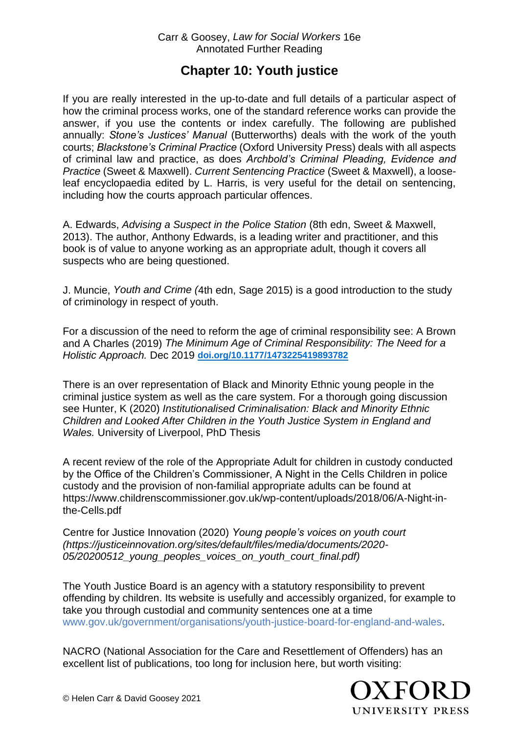## **Chapter 10: Youth justice**

If you are really interested in the up-to-date and full details of a particular aspect of how the criminal process works, one of the standard reference works can provide the answer, if you use the contents or index carefully. The following are published annually: *Stone's Justices' Manual* (Butterworths) deals with the work of the youth courts; *Blackstone's Criminal Practice* (Oxford University Press) deals with all aspects of criminal law and practice, as does *Archbold's Criminal Pleading, Evidence and Practice* (Sweet & Maxwell). *Current Sentencing Practice* (Sweet & Maxwell), a looseleaf encyclopaedia edited by L. Harris, is very useful for the detail on sentencing, including how the courts approach particular offences.

A. Edwards, *Advising a Suspect in the Police Station* (8th edn, Sweet & Maxwell, 2013). The author, Anthony Edwards, is a leading writer and practitioner, and this book is of value to anyone working as an appropriate adult, though it covers all suspects who are being questioned.

J. Muncie, *Youth and Crime (*4th edn, Sage 2015) is a good introduction to the study of criminology in respect of youth.

For a discussion of the need to reform the age of criminal responsibility see: A Brown and A Charles (2019) *The Minimum Age of Criminal Responsibility: The Need for a Holistic Approach.* Dec 2019 **[doi.org/10.1177/1473225419893782](https://doi.org/10.1177%2F1473225419893782)**

There is an over representation of Black and Minority Ethnic young people in the criminal justice system as well as the care system. For a thorough going discussion see Hunter, K (2020) *Institutionalised Criminalisation: Black and Minority Ethnic Children and Looked After Children in the Youth Justice System in England and Wales.* University of Liverpool, PhD Thesis

A recent review of the role of the Appropriate Adult for children in custody conducted by the Office of the Children's Commissioner, A Night in the Cells Children in police custody and the provision of non-familial appropriate adults can be found at https://www.childrenscommissioner.gov.uk/wp-content/uploads/2018/06/A-Night-inthe-Cells.pdf

Centre for Justice Innovation (2020) *Young people's voices on youth court (https://justiceinnovation.org/sites/default/files/media/documents/2020- 05/20200512\_young\_peoples\_voices\_on\_youth\_court\_final.pdf)*

The Youth Justice Board is an agency with a statutory responsibility to prevent offending by children. Its website is usefully and accessibly organized, for example to take you through custodial and community sentences one at a time [www.gov.uk/government/organisations/youth-justice-board-for-england-and-wales.](https://www.gov.uk/government/organisations/youth-justice-board-for-england-and-wales)

NACRO (National Association for the Care and Resettlement of Offenders) has an excellent list of publications, too long for inclusion here, but worth visiting: